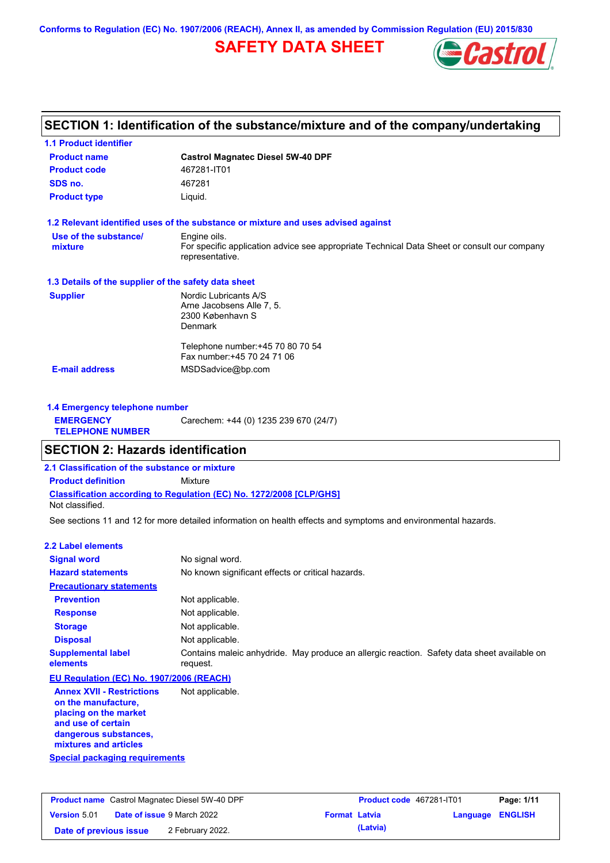**Conforms to Regulation (EC) No. 1907/2006 (REACH), Annex II, as amended by Commission Regulation (EU) 2015/830**

# **SAFETY DATA SHEET**



## **SECTION 1: Identification of the substance/mixture and of the company/undertaking**

| <b>Product name</b>                                  | <b>Castrol Magnatec Diesel 5W-40 DPF</b>                                                                       |
|------------------------------------------------------|----------------------------------------------------------------------------------------------------------------|
| <b>Product code</b>                                  | 467281-IT01                                                                                                    |
| SDS no.                                              | 467281                                                                                                         |
| <b>Product type</b>                                  | Liquid.                                                                                                        |
|                                                      | 1.2 Relevant identified uses of the substance or mixture and uses advised against                              |
| Use of the substance/                                | Engine oils.                                                                                                   |
| mixture                                              | For specific application advice see appropriate Technical Data Sheet or consult our company<br>representative. |
| 1.3 Details of the supplier of the safety data sheet |                                                                                                                |
| <b>Supplier</b>                                      | Nordic Lubricants A/S                                                                                          |
|                                                      | Arne Jacobsens Alle 7, 5.                                                                                      |
|                                                      | 2300 København S<br><b>Denmark</b>                                                                             |
|                                                      |                                                                                                                |
|                                                      | Telephone number: +45 70 80 70 54                                                                              |
|                                                      | Fax number: +45 70 24 71 06                                                                                    |
| <b>E-mail address</b>                                | MSDSadvice@bp.com                                                                                              |

| 1.4 Emergency telephone number              |                                       |
|---------------------------------------------|---------------------------------------|
| <b>EMERGENCY</b><br><b>TELEPHONE NUMBER</b> | Carechem: +44 (0) 1235 239 670 (24/7) |

### **SECTION 2: Hazards identification**

**2.1 Classification of the substance or mixture**

**Classification according to Regulation (EC) No. 1272/2008 [CLP/GHS] Product definition** Mixture

Not classified.

See sections 11 and 12 for more detailed information on health effects and symptoms and environmental hazards.

### **2.2 Label elements**

| --- ------ ---------                                    |                                                                                                         |
|---------------------------------------------------------|---------------------------------------------------------------------------------------------------------|
| <b>Signal word</b>                                      | No signal word.                                                                                         |
| <b>Hazard statements</b>                                | No known significant effects or critical hazards.                                                       |
| <b>Precautionary statements</b>                         |                                                                                                         |
| <b>Prevention</b>                                       | Not applicable.                                                                                         |
| <b>Response</b>                                         | Not applicable.                                                                                         |
| <b>Storage</b>                                          | Not applicable.                                                                                         |
| <b>Disposal</b>                                         | Not applicable.                                                                                         |
| <b>Supplemental label</b><br>elements                   | Contains maleic anhydride. May produce an allergic reaction. Safety data sheet available on<br>request. |
| EU Regulation (EC) No. 1907/2006 (REACH)                |                                                                                                         |
| <b>Annex XVII - Restrictions</b><br>on the manufacture, | Not applicable.                                                                                         |

**Special packaging requirements placing on the market and use of certain dangerous substances, mixtures and articles**

|                        | <b>Product name</b> Castrol Magnatec Diesel 5W-40 DPF |                      | <b>Product code</b> 467281-IT01 |                  | Page: 1/11 |
|------------------------|-------------------------------------------------------|----------------------|---------------------------------|------------------|------------|
| <b>Version 5.01</b>    | <b>Date of issue 9 March 2022</b>                     | <b>Format Latvia</b> |                                 | Language ENGLISH |            |
| Date of previous issue | 2 February 2022.                                      |                      | (Latvia)                        |                  |            |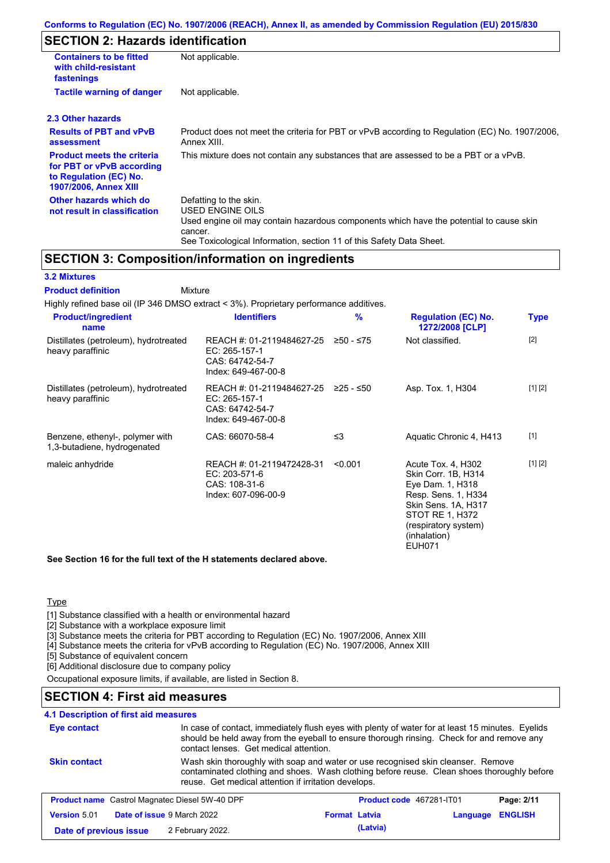# **SECTION 2: Hazards identification**

| <b>Containers to be fitted</b><br>with child-resistant<br>fastenings                                                     | Not applicable.                                                                                                                                                                                                          |  |
|--------------------------------------------------------------------------------------------------------------------------|--------------------------------------------------------------------------------------------------------------------------------------------------------------------------------------------------------------------------|--|
| <b>Tactile warning of danger</b>                                                                                         | Not applicable.                                                                                                                                                                                                          |  |
| 2.3 Other hazards                                                                                                        |                                                                                                                                                                                                                          |  |
| <b>Results of PBT and vPvB</b><br>assessment                                                                             | Product does not meet the criteria for PBT or vPvB according to Regulation (EC) No. 1907/2006,<br>Annex XIII.                                                                                                            |  |
| <b>Product meets the criteria</b><br>for PBT or vPvB according<br>to Regulation (EC) No.<br><b>1907/2006, Annex XIII</b> | This mixture does not contain any substances that are assessed to be a PBT or a vPvB.                                                                                                                                    |  |
| Other hazards which do<br>not result in classification                                                                   | Defatting to the skin.<br>USED ENGINE OILS<br>Used engine oil may contain hazardous components which have the potential to cause skin<br>cancer.<br>See Toxicological Information, section 11 of this Safety Data Sheet. |  |

### **SECTION 3: Composition/information on ingredients**

#### **3.2 Mixtures**

Mixture **Product definition**

| <b>Product/ingredient</b><br>name                              | <b>Identifiers</b>                                                                   | $\%$      | <b>Regulation (EC) No.</b><br>1272/2008 [CLP]                                                                                                                                    | <b>Type</b> |
|----------------------------------------------------------------|--------------------------------------------------------------------------------------|-----------|----------------------------------------------------------------------------------------------------------------------------------------------------------------------------------|-------------|
| Distillates (petroleum), hydrotreated<br>heavy paraffinic      | REACH #: 01-2119484627-25<br>EC: 265-157-1<br>CAS: 64742-54-7<br>Index: 649-467-00-8 | ≥50 - ≤75 | Not classified.                                                                                                                                                                  | $[2]$       |
| Distillates (petroleum), hydrotreated<br>heavy paraffinic      | REACH #: 01-2119484627-25<br>EC: 265-157-1<br>CAS: 64742-54-7<br>Index: 649-467-00-8 | ≥25 - ≤50 | Asp. Tox. 1, H304                                                                                                                                                                | [1] [2]     |
| Benzene, ethenyl-, polymer with<br>1,3-butadiene, hydrogenated | CAS: 66070-58-4                                                                      | ≤3        | Aquatic Chronic 4, H413                                                                                                                                                          | $[1]$       |
| maleic anhydride                                               | REACH #: 01-2119472428-31<br>EC: 203-571-6<br>CAS: 108-31-6<br>Index: 607-096-00-9   | < 0.001   | Acute Tox. 4, H302<br>Skin Corr. 1B, H314<br>Eye Dam. 1, H318<br>Resp. Sens. 1, H334<br>Skin Sens. 1A, H317<br>STOT RE 1, H372<br>(respiratory system)<br>(inhalation)<br>EUH071 | [1] [2]     |

**See Section 16 for the full text of the H statements declared above.**

### **Type**

[1] Substance classified with a health or environmental hazard

[2] Substance with a workplace exposure limit

[3] Substance meets the criteria for PBT according to Regulation (EC) No. 1907/2006, Annex XIII

[4] Substance meets the criteria for vPvB according to Regulation (EC) No. 1907/2006, Annex XIII

[5] Substance of equivalent concern

[6] Additional disclosure due to company policy

Occupational exposure limits, if available, are listed in Section 8.

### **SECTION 4: First aid measures**

## **4.1 Description of first aid measures**

| Eye contact            | contact lenses. Get medical attention.                | In case of contact, immediately flush eyes with plenty of water for at least 15 minutes. Eyelids<br>should be held away from the eyeball to ensure thorough rinsing. Check for and remove any |          |                |
|------------------------|-------------------------------------------------------|-----------------------------------------------------------------------------------------------------------------------------------------------------------------------------------------------|----------|----------------|
| <b>Skin contact</b>    | reuse. Get medical attention if irritation develops.  | Wash skin thoroughly with soap and water or use recognised skin cleanser. Remove<br>contaminated clothing and shoes. Wash clothing before reuse. Clean shoes thoroughly before                |          |                |
|                        | <b>Product name</b> Castrol Magnatec Diesel 5W-40 DPF | Product code 467281-IT01                                                                                                                                                                      |          | Page: 2/11     |
| <b>Version 5.01</b>    | Date of issue 9 March 2022                            | <b>Format Latvia</b>                                                                                                                                                                          | Language | <b>ENGLISH</b> |
| Date of previous issue | 2 February 2022.                                      | (Latvia)                                                                                                                                                                                      |          |                |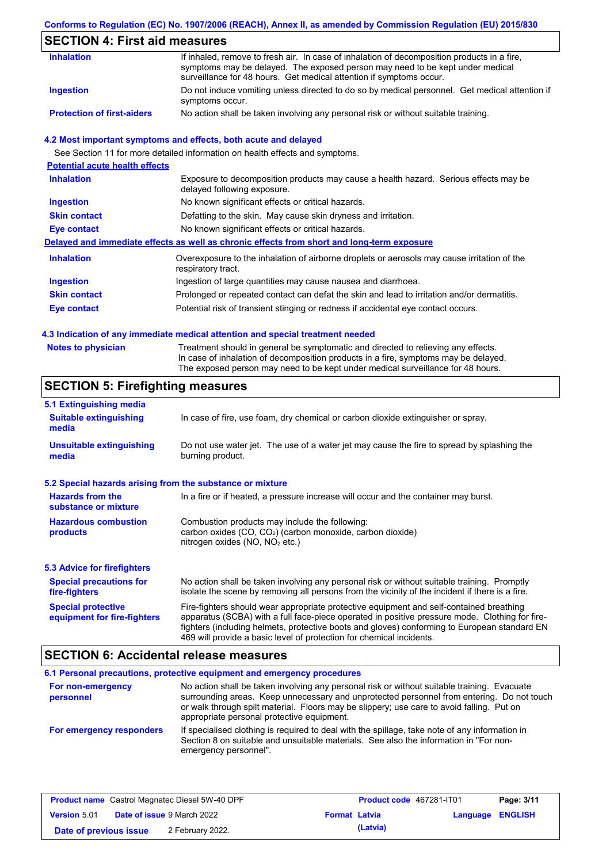### **Conforms to Regulation (EC) No. 1907/2006 (REACH), Annex II, as amended by Commission Regulation (EU) 2015/830**

# **SECTION 4: First aid measures**

| <b>Inhalation</b>                 | If inhaled, remove to fresh air. In case of inhalation of decomposition products in a fire,<br>symptoms may be delayed. The exposed person may need to be kept under medical<br>surveillance for 48 hours. Get medical attention if symptoms occur. |
|-----------------------------------|-----------------------------------------------------------------------------------------------------------------------------------------------------------------------------------------------------------------------------------------------------|
| Ingestion                         | Do not induce vomiting unless directed to do so by medical personnel. Get medical attention if<br>symptoms occur.                                                                                                                                   |
| <b>Protection of first-aiders</b> | No action shall be taken involving any personal risk or without suitable training.                                                                                                                                                                  |

### **4.2 Most important symptoms and effects, both acute and delayed**

See Section 11 for more detailed information on health effects and symptoms.

| <b>Potential acute health effects</b> |                                                                                                                     |
|---------------------------------------|---------------------------------------------------------------------------------------------------------------------|
| <b>Inhalation</b>                     | Exposure to decomposition products may cause a health hazard. Serious effects may be<br>delayed following exposure. |
| <b>Ingestion</b>                      | No known significant effects or critical hazards.                                                                   |
| <b>Skin contact</b>                   | Defatting to the skin. May cause skin dryness and irritation.                                                       |
| Eye contact                           | No known significant effects or critical hazards.                                                                   |
|                                       | Delayed and immediate effects as well as chronic effects from short and long-term exposure                          |
| <b>Inhalation</b>                     | Overexposure to the inhalation of airborne droplets or aerosols may cause irritation of the<br>respiratory tract.   |
| <b>Ingestion</b>                      | Ingestion of large quantities may cause nausea and diarrhoea.                                                       |
| <b>Skin contact</b>                   | Prolonged or repeated contact can defat the skin and lead to irritation and/or dermatitis.                          |
| Eye contact                           | Potential risk of transient stinging or redness if accidental eye contact occurs.                                   |
|                                       |                                                                                                                     |

### **4.3 Indication of any immediate medical attention and special treatment needed**

| <b>Notes to physician</b> | Treatment should in general be symptomatic and directed to relieving any effects.   |
|---------------------------|-------------------------------------------------------------------------------------|
|                           | In case of inhalation of decomposition products in a fire, symptoms may be delayed. |
|                           | The exposed person may need to be kept under medical surveillance for 48 hours.     |

# **SECTION 5: Firefighting measures**

| 5.1 Extinguishing media                                                                                                                                    |                                                                                                                                                                                                                                                                                                                                                                   |
|------------------------------------------------------------------------------------------------------------------------------------------------------------|-------------------------------------------------------------------------------------------------------------------------------------------------------------------------------------------------------------------------------------------------------------------------------------------------------------------------------------------------------------------|
| <b>Suitable extinguishing</b><br>media                                                                                                                     | In case of fire, use foam, dry chemical or carbon dioxide extinguisher or spray.                                                                                                                                                                                                                                                                                  |
| <b>Unsuitable extinguishing</b><br>Do not use water jet. The use of a water jet may cause the fire to spread by splashing the<br>burning product.<br>media |                                                                                                                                                                                                                                                                                                                                                                   |
| 5.2 Special hazards arising from the substance or mixture                                                                                                  |                                                                                                                                                                                                                                                                                                                                                                   |
| <b>Hazards from the</b><br>substance or mixture                                                                                                            | In a fire or if heated, a pressure increase will occur and the container may burst.                                                                                                                                                                                                                                                                               |
| <b>Hazardous combustion</b><br>products                                                                                                                    | Combustion products may include the following:<br>carbon oxides $(CO, CO2)$ (carbon monoxide, carbon dioxide)<br>nitrogen oxides ( $NO$ , $NO2$ etc.)                                                                                                                                                                                                             |
| <b>5.3 Advice for firefighters</b>                                                                                                                         |                                                                                                                                                                                                                                                                                                                                                                   |
| <b>Special precautions for</b><br>fire-fighters                                                                                                            | No action shall be taken involving any personal risk or without suitable training. Promptly<br>isolate the scene by removing all persons from the vicinity of the incident if there is a fire.                                                                                                                                                                    |
| <b>Special protective</b><br>equipment for fire-fighters                                                                                                   | Fire-fighters should wear appropriate protective equipment and self-contained breathing<br>apparatus (SCBA) with a full face-piece operated in positive pressure mode. Clothing for fire-<br>fighters (including helmets, protective boots and gloves) conforming to European standard EN<br>469 will provide a basic level of protection for chemical incidents. |

## **SECTION 6: Accidental release measures**

|                                | 6.1 Personal precautions, protective equipment and emergency procedures                                                                                                                                                                                                                                                             |
|--------------------------------|-------------------------------------------------------------------------------------------------------------------------------------------------------------------------------------------------------------------------------------------------------------------------------------------------------------------------------------|
| For non-emergency<br>personnel | No action shall be taken involving any personal risk or without suitable training. Evacuate<br>surrounding areas. Keep unnecessary and unprotected personnel from entering. Do not touch<br>or walk through spilt material. Floors may be slippery; use care to avoid falling. Put on<br>appropriate personal protective equipment. |
| For emergency responders       | If specialised clothing is required to deal with the spillage, take note of any information in<br>Section 8 on suitable and unsuitable materials. See also the information in "For non-<br>emergency personnel".                                                                                                                    |

|                        | <b>Product name</b> Castrol Magnatec Diesel 5W-40 DPF |                      | <b>Product code</b> 467281-IT01 |                  | Page: 3/11 |
|------------------------|-------------------------------------------------------|----------------------|---------------------------------|------------------|------------|
| <b>Version 5.01</b>    | <b>Date of issue 9 March 2022</b>                     | <b>Format Latvia</b> |                                 | Language ENGLISH |            |
| Date of previous issue | 2 February 2022.                                      |                      | (Latvia)                        |                  |            |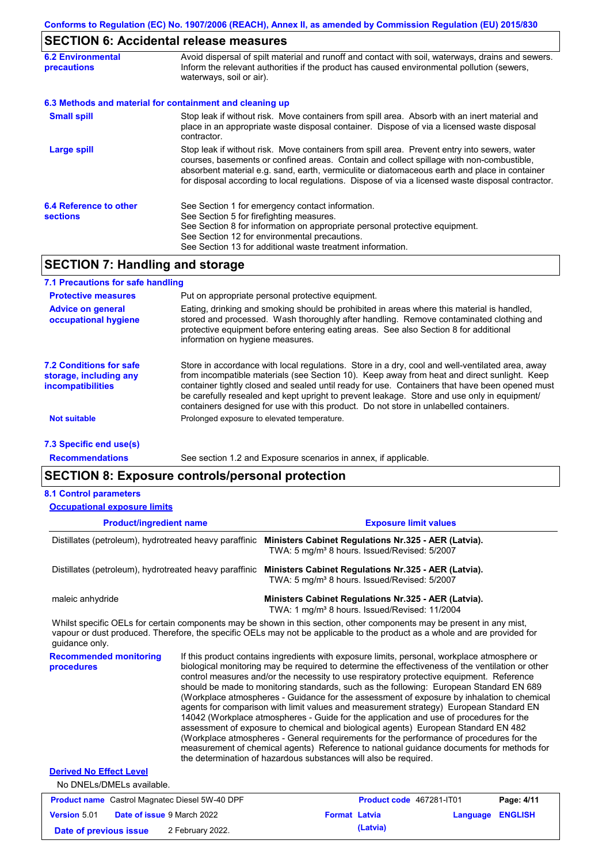# **SECTION 6: Accidental release measures**

| <b>6.2 Environmental</b><br><b>precautions</b> | Avoid dispersal of spilt material and runoff and contact with soil, waterways, drains and sewers.<br>Inform the relevant authorities if the product has caused environmental pollution (sewers,<br>waterways, soil or air).                                                                                                                                                                    |
|------------------------------------------------|------------------------------------------------------------------------------------------------------------------------------------------------------------------------------------------------------------------------------------------------------------------------------------------------------------------------------------------------------------------------------------------------|
|                                                | 6.3 Methods and material for containment and cleaning up                                                                                                                                                                                                                                                                                                                                       |
| <b>Small spill</b>                             | Stop leak if without risk. Move containers from spill area. Absorb with an inert material and<br>place in an appropriate waste disposal container. Dispose of via a licensed waste disposal<br>contractor.                                                                                                                                                                                     |
| <b>Large spill</b>                             | Stop leak if without risk. Move containers from spill area. Prevent entry into sewers, water<br>courses, basements or confined areas. Contain and collect spillage with non-combustible,<br>absorbent material e.g. sand, earth, vermiculite or diatomaceous earth and place in container<br>for disposal according to local regulations. Dispose of via a licensed waste disposal contractor. |
| 6.4 Reference to other<br><b>sections</b>      | See Section 1 for emergency contact information.<br>See Section 5 for firefighting measures.<br>See Section 8 for information on appropriate personal protective equipment.<br>See Section 12 for environmental precautions.<br>See Section 13 for additional waste treatment information.                                                                                                     |

## **SECTION 7: Handling and storage**

| 7.1 Precautions for safe handling                                             |                                                                                                                                                                                                                                                                                                                                                                                                                                                                                          |
|-------------------------------------------------------------------------------|------------------------------------------------------------------------------------------------------------------------------------------------------------------------------------------------------------------------------------------------------------------------------------------------------------------------------------------------------------------------------------------------------------------------------------------------------------------------------------------|
| <b>Protective measures</b>                                                    | Put on appropriate personal protective equipment.                                                                                                                                                                                                                                                                                                                                                                                                                                        |
| <b>Advice on general</b><br>occupational hygiene                              | Eating, drinking and smoking should be prohibited in areas where this material is handled,<br>stored and processed. Wash thoroughly after handling. Remove contaminated clothing and<br>protective equipment before entering eating areas. See also Section 8 for additional<br>information on hygiene measures.                                                                                                                                                                         |
| 7.2 Conditions for safe<br>storage, including any<br><i>incompatibilities</i> | Store in accordance with local requlations. Store in a dry, cool and well-ventilated area, away<br>from incompatible materials (see Section 10). Keep away from heat and direct sunlight. Keep<br>container tightly closed and sealed until ready for use. Containers that have been opened must<br>be carefully resealed and kept upright to prevent leakage. Store and use only in equipment/<br>containers designed for use with this product. Do not store in unlabelled containers. |
| <b>Not suitable</b>                                                           | Prolonged exposure to elevated temperature.                                                                                                                                                                                                                                                                                                                                                                                                                                              |
| 7.3 Specific end use(s)                                                       |                                                                                                                                                                                                                                                                                                                                                                                                                                                                                          |

**Recommendations**

See section 1.2 and Exposure scenarios in annex, if applicable.

## **SECTION 8: Exposure controls/personal protection**

### **8.1 Control parameters**

| <b>Occupational exposure limits</b>                    |                                                                                                                                                                                                                                                                                                                                                                                                                                                                                                                                                                                                                                                                                                                                                                                                                                                                                                                                                                                                                            |
|--------------------------------------------------------|----------------------------------------------------------------------------------------------------------------------------------------------------------------------------------------------------------------------------------------------------------------------------------------------------------------------------------------------------------------------------------------------------------------------------------------------------------------------------------------------------------------------------------------------------------------------------------------------------------------------------------------------------------------------------------------------------------------------------------------------------------------------------------------------------------------------------------------------------------------------------------------------------------------------------------------------------------------------------------------------------------------------------|
| <b>Product/ingredient name</b>                         | <b>Exposure limit values</b>                                                                                                                                                                                                                                                                                                                                                                                                                                                                                                                                                                                                                                                                                                                                                                                                                                                                                                                                                                                               |
| Distillates (petroleum), hydrotreated heavy paraffinic | Ministers Cabinet Regulations Nr.325 - AER (Latvia).<br>TWA: 5 mg/m <sup>3</sup> 8 hours. Issued/Revised: 5/2007                                                                                                                                                                                                                                                                                                                                                                                                                                                                                                                                                                                                                                                                                                                                                                                                                                                                                                           |
| Distillates (petroleum), hydrotreated heavy paraffinic | Ministers Cabinet Regulations Nr.325 - AER (Latvia).<br>TWA: 5 mg/m <sup>3</sup> 8 hours. Issued/Revised: 5/2007                                                                                                                                                                                                                                                                                                                                                                                                                                                                                                                                                                                                                                                                                                                                                                                                                                                                                                           |
| maleic anhydride                                       | Ministers Cabinet Regulations Nr.325 - AER (Latvia).<br>TWA: 1 mg/m <sup>3</sup> 8 hours. Issued/Revised: 11/2004                                                                                                                                                                                                                                                                                                                                                                                                                                                                                                                                                                                                                                                                                                                                                                                                                                                                                                          |
| guidance only.                                         | Whilst specific OELs for certain components may be shown in this section, other components may be present in any mist,<br>vapour or dust produced. Therefore, the specific OELs may not be applicable to the product as a whole and are provided for                                                                                                                                                                                                                                                                                                                                                                                                                                                                                                                                                                                                                                                                                                                                                                       |
| <b>Recommended monitoring</b><br>procedures            | If this product contains ingredients with exposure limits, personal, workplace atmosphere or<br>biological monitoring may be required to determine the effectiveness of the ventilation or other<br>control measures and/or the necessity to use respiratory protective equipment. Reference<br>should be made to monitoring standards, such as the following: European Standard EN 689<br>(Workplace atmospheres - Guidance for the assessment of exposure by inhalation to chemical<br>agents for comparison with limit values and measurement strategy) European Standard EN<br>14042 (Workplace atmospheres - Guide for the application and use of procedures for the<br>assessment of exposure to chemical and biological agents) European Standard EN 482<br>(Workplace atmospheres - General requirements for the performance of procedures for the<br>measurement of chemical agents) Reference to national guidance documents for methods for<br>the determination of hazardous substances will also be required. |
| <b>Derived No Effect Level</b>                         |                                                                                                                                                                                                                                                                                                                                                                                                                                                                                                                                                                                                                                                                                                                                                                                                                                                                                                                                                                                                                            |
| No DNELs/DMELs available.                              |                                                                                                                                                                                                                                                                                                                                                                                                                                                                                                                                                                                                                                                                                                                                                                                                                                                                                                                                                                                                                            |

|                        | <b>Product name</b> Castrol Magnatec Diesel 5W-40 DPF |                      | Product code 467281-IT01 |                         | Page: 4/11 |
|------------------------|-------------------------------------------------------|----------------------|--------------------------|-------------------------|------------|
| Version 5.01           | <b>Date of issue 9 March 2022</b>                     | <b>Format Latvia</b> |                          | <b>Language ENGLISH</b> |            |
| Date of previous issue | 2 February 2022.                                      |                      | (Latvia)                 |                         |            |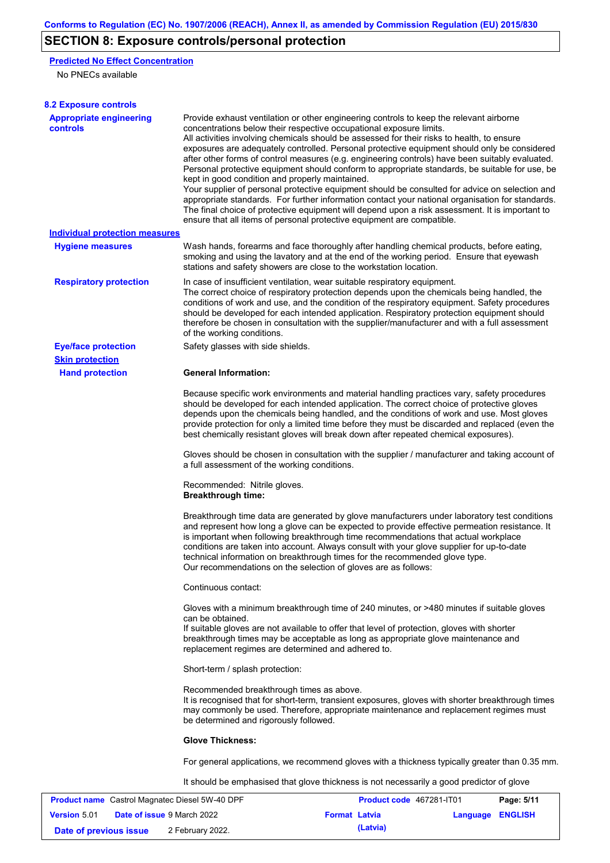# **SECTION 8: Exposure controls/personal protection**

### **Predicted No Effect Concentration**

No PNECs available

**Version** 5.01

| <b>8.2 Exposure controls</b>                          |                                                                                                                        |                                                                                                                                                                                                                                                                                                                                                                                                                                                                                                                                                                                                                                                                                                                                                                                                                                                                               |            |
|-------------------------------------------------------|------------------------------------------------------------------------------------------------------------------------|-------------------------------------------------------------------------------------------------------------------------------------------------------------------------------------------------------------------------------------------------------------------------------------------------------------------------------------------------------------------------------------------------------------------------------------------------------------------------------------------------------------------------------------------------------------------------------------------------------------------------------------------------------------------------------------------------------------------------------------------------------------------------------------------------------------------------------------------------------------------------------|------------|
| <b>Appropriate engineering</b><br>controls            | concentrations below their respective occupational exposure limits.<br>kept in good condition and properly maintained. | Provide exhaust ventilation or other engineering controls to keep the relevant airborne<br>All activities involving chemicals should be assessed for their risks to health, to ensure<br>exposures are adequately controlled. Personal protective equipment should only be considered<br>after other forms of control measures (e.g. engineering controls) have been suitably evaluated.<br>Personal protective equipment should conform to appropriate standards, be suitable for use, be<br>Your supplier of personal protective equipment should be consulted for advice on selection and<br>appropriate standards. For further information contact your national organisation for standards.<br>The final choice of protective equipment will depend upon a risk assessment. It is important to<br>ensure that all items of personal protective equipment are compatible. |            |
| <b>Individual protection measures</b>                 |                                                                                                                        |                                                                                                                                                                                                                                                                                                                                                                                                                                                                                                                                                                                                                                                                                                                                                                                                                                                                               |            |
| <b>Hygiene measures</b>                               | stations and safety showers are close to the workstation location.                                                     | Wash hands, forearms and face thoroughly after handling chemical products, before eating,<br>smoking and using the lavatory and at the end of the working period. Ensure that eyewash                                                                                                                                                                                                                                                                                                                                                                                                                                                                                                                                                                                                                                                                                         |            |
| <b>Respiratory protection</b>                         | of the working conditions.                                                                                             | In case of insufficient ventilation, wear suitable respiratory equipment.<br>The correct choice of respiratory protection depends upon the chemicals being handled, the<br>conditions of work and use, and the condition of the respiratory equipment. Safety procedures<br>should be developed for each intended application. Respiratory protection equipment should<br>therefore be chosen in consultation with the supplier/manufacturer and with a full assessment                                                                                                                                                                                                                                                                                                                                                                                                       |            |
| <b>Eye/face protection</b>                            | Safety glasses with side shields.                                                                                      |                                                                                                                                                                                                                                                                                                                                                                                                                                                                                                                                                                                                                                                                                                                                                                                                                                                                               |            |
| <b>Skin protection</b>                                |                                                                                                                        |                                                                                                                                                                                                                                                                                                                                                                                                                                                                                                                                                                                                                                                                                                                                                                                                                                                                               |            |
| <b>Hand protection</b>                                | <b>General Information:</b>                                                                                            |                                                                                                                                                                                                                                                                                                                                                                                                                                                                                                                                                                                                                                                                                                                                                                                                                                                                               |            |
|                                                       |                                                                                                                        | Because specific work environments and material handling practices vary, safety procedures<br>should be developed for each intended application. The correct choice of protective gloves<br>depends upon the chemicals being handled, and the conditions of work and use. Most gloves<br>provide protection for only a limited time before they must be discarded and replaced (even the<br>best chemically resistant gloves will break down after repeated chemical exposures).                                                                                                                                                                                                                                                                                                                                                                                              |            |
|                                                       | a full assessment of the working conditions.                                                                           | Gloves should be chosen in consultation with the supplier / manufacturer and taking account of                                                                                                                                                                                                                                                                                                                                                                                                                                                                                                                                                                                                                                                                                                                                                                                |            |
|                                                       | Recommended: Nitrile gloves.<br><b>Breakthrough time:</b>                                                              |                                                                                                                                                                                                                                                                                                                                                                                                                                                                                                                                                                                                                                                                                                                                                                                                                                                                               |            |
|                                                       | Our recommendations on the selection of gloves are as follows:                                                         | Breakthrough time data are generated by glove manufacturers under laboratory test conditions<br>and represent how long a glove can be expected to provide effective permeation resistance. It<br>is important when following breakthrough time recommendations that actual workplace<br>conditions are taken into account. Always consult with your glove supplier for up-to-date<br>technical information on breakthrough times for the recommended glove type.                                                                                                                                                                                                                                                                                                                                                                                                              |            |
|                                                       | Continuous contact:                                                                                                    |                                                                                                                                                                                                                                                                                                                                                                                                                                                                                                                                                                                                                                                                                                                                                                                                                                                                               |            |
|                                                       | can be obtained.<br>replacement regimes are determined and adhered to.                                                 | Gloves with a minimum breakthrough time of 240 minutes, or >480 minutes if suitable gloves<br>If suitable gloves are not available to offer that level of protection, gloves with shorter<br>breakthrough times may be acceptable as long as appropriate glove maintenance and                                                                                                                                                                                                                                                                                                                                                                                                                                                                                                                                                                                                |            |
|                                                       | Short-term / splash protection:                                                                                        |                                                                                                                                                                                                                                                                                                                                                                                                                                                                                                                                                                                                                                                                                                                                                                                                                                                                               |            |
|                                                       | Recommended breakthrough times as above.<br>be determined and rigorously followed.                                     | It is recognised that for short-term, transient exposures, gloves with shorter breakthrough times<br>may commonly be used. Therefore, appropriate maintenance and replacement regimes must                                                                                                                                                                                                                                                                                                                                                                                                                                                                                                                                                                                                                                                                                    |            |
|                                                       | <b>Glove Thickness:</b>                                                                                                |                                                                                                                                                                                                                                                                                                                                                                                                                                                                                                                                                                                                                                                                                                                                                                                                                                                                               |            |
|                                                       |                                                                                                                        | For general applications, we recommend gloves with a thickness typically greater than 0.35 mm.                                                                                                                                                                                                                                                                                                                                                                                                                                                                                                                                                                                                                                                                                                                                                                                |            |
|                                                       |                                                                                                                        | It should be emphasised that glove thickness is not necessarily a good predictor of glove                                                                                                                                                                                                                                                                                                                                                                                                                                                                                                                                                                                                                                                                                                                                                                                     |            |
| <b>Product name</b> Castrol Magnatec Diesel 5W-40 DPF |                                                                                                                        | Product code 467281-IT01                                                                                                                                                                                                                                                                                                                                                                                                                                                                                                                                                                                                                                                                                                                                                                                                                                                      | Page: 5/11 |

**Date of issue** 9 March 2022 **Format Latvia Language ENGLISH**

**Date of previous issue (Latvia)** 2 February 2022.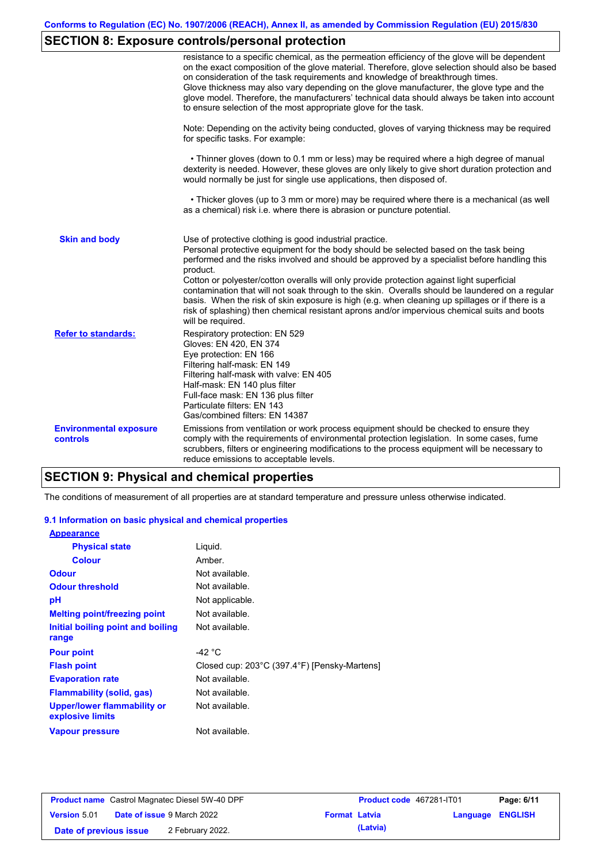# **SECTION 8: Exposure controls/personal protection**

|                                           | resistance to a specific chemical, as the permeation efficiency of the glove will be dependent<br>on the exact composition of the glove material. Therefore, glove selection should also be based<br>on consideration of the task requirements and knowledge of breakthrough times.<br>Glove thickness may also vary depending on the glove manufacturer, the glove type and the<br>glove model. Therefore, the manufacturers' technical data should always be taken into account<br>to ensure selection of the most appropriate glove for the task.                                                                                                                                  |
|-------------------------------------------|---------------------------------------------------------------------------------------------------------------------------------------------------------------------------------------------------------------------------------------------------------------------------------------------------------------------------------------------------------------------------------------------------------------------------------------------------------------------------------------------------------------------------------------------------------------------------------------------------------------------------------------------------------------------------------------|
|                                           | Note: Depending on the activity being conducted, gloves of varying thickness may be required<br>for specific tasks. For example:                                                                                                                                                                                                                                                                                                                                                                                                                                                                                                                                                      |
|                                           | • Thinner gloves (down to 0.1 mm or less) may be required where a high degree of manual<br>dexterity is needed. However, these gloves are only likely to give short duration protection and<br>would normally be just for single use applications, then disposed of.                                                                                                                                                                                                                                                                                                                                                                                                                  |
|                                           | • Thicker gloves (up to 3 mm or more) may be required where there is a mechanical (as well<br>as a chemical) risk i.e. where there is abrasion or puncture potential.                                                                                                                                                                                                                                                                                                                                                                                                                                                                                                                 |
| <b>Skin and body</b>                      | Use of protective clothing is good industrial practice.<br>Personal protective equipment for the body should be selected based on the task being<br>performed and the risks involved and should be approved by a specialist before handling this<br>product.<br>Cotton or polyester/cotton overalls will only provide protection against light superficial<br>contamination that will not soak through to the skin. Overalls should be laundered on a regular<br>basis. When the risk of skin exposure is high (e.g. when cleaning up spillages or if there is a<br>risk of splashing) then chemical resistant aprons and/or impervious chemical suits and boots<br>will be required. |
| <b>Refer to standards:</b>                | Respiratory protection: EN 529<br>Gloves: EN 420, EN 374<br>Eye protection: EN 166<br>Filtering half-mask: EN 149<br>Filtering half-mask with valve: EN 405<br>Half-mask: EN 140 plus filter<br>Full-face mask: EN 136 plus filter<br>Particulate filters: EN 143<br>Gas/combined filters: EN 14387                                                                                                                                                                                                                                                                                                                                                                                   |
| <b>Environmental exposure</b><br>controls | Emissions from ventilation or work process equipment should be checked to ensure they<br>comply with the requirements of environmental protection legislation. In some cases, fume<br>scrubbers, filters or engineering modifications to the process equipment will be necessary to<br>reduce emissions to acceptable levels.                                                                                                                                                                                                                                                                                                                                                         |

## **SECTION 9: Physical and chemical properties**

The conditions of measurement of all properties are at standard temperature and pressure unless otherwise indicated.

### **9.1 Information on basic physical and chemical properties**

| <b>Appearance</b>                               |                                              |
|-------------------------------------------------|----------------------------------------------|
| <b>Physical state</b>                           | Liguid.                                      |
| <b>Colour</b>                                   | Amber.                                       |
| <b>Odour</b>                                    | Not available.                               |
| <b>Odour threshold</b>                          | Not available.                               |
| рH                                              | Not applicable.                              |
| <b>Melting point/freezing point</b>             | Not available.                               |
| Initial boiling point and boiling               | Not available.                               |
| range                                           |                                              |
| <b>Pour point</b>                               | -42 $^{\circ}$ C                             |
| <b>Flash point</b>                              | Closed cup: 203°C (397.4°F) [Pensky-Martens] |
| <b>Evaporation rate</b>                         | Not available.                               |
| Flammability (solid, gas)                       | Not available.                               |
| Upper/lower flammability or<br>explosive limits | Not available.                               |
| <b>Vapour pressure</b>                          | Not available.                               |

|                        | <b>Product name</b> Castrol Magnatec Diesel 5W-40 DPF |                      | Product code 467281-IT01 |                         | Page: 6/11 |
|------------------------|-------------------------------------------------------|----------------------|--------------------------|-------------------------|------------|
| <b>Version 5.01</b>    | <b>Date of issue 9 March 2022</b>                     | <b>Format Latvia</b> |                          | <b>Language ENGLISH</b> |            |
| Date of previous issue | 2 February 2022.                                      |                      | (Latvia)                 |                         |            |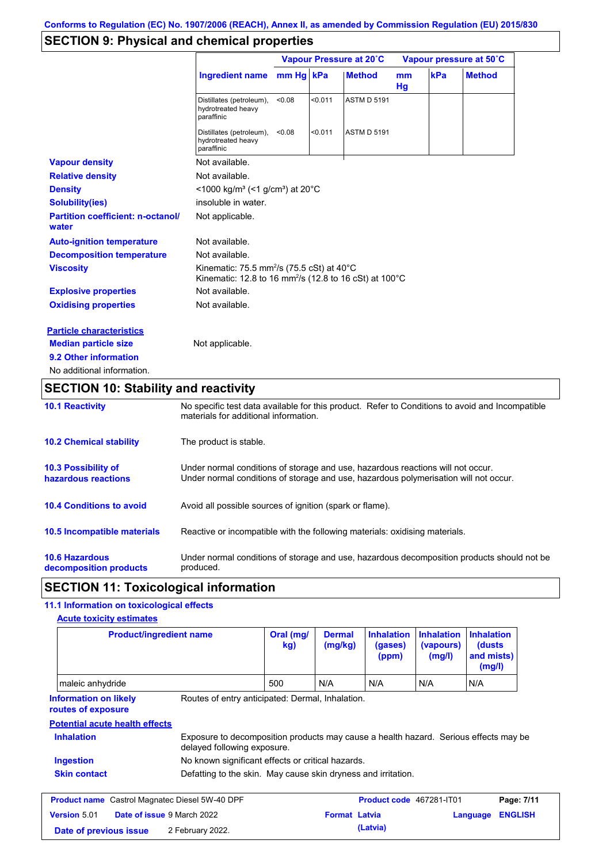# **SECTION 9: Physical and chemical properties**

|                                                   |                                                                                                                                        |        |         | Vapour Pressure at 20°C |                      |     | Vapour pressure at 50°C |
|---------------------------------------------------|----------------------------------------------------------------------------------------------------------------------------------------|--------|---------|-------------------------|----------------------|-----|-------------------------|
|                                                   | Ingredient name mm Hg kPa                                                                                                              |        |         | <b>Method</b>           | m <sub>m</sub><br>Hg | kPa | <b>Method</b>           |
|                                                   | Distillates (petroleum),<br>hydrotreated heavy<br>paraffinic                                                                           | < 0.08 | < 0.011 | <b>ASTM D 5191</b>      |                      |     |                         |
|                                                   | Distillates (petroleum),<br>hydrotreated heavy<br>paraffinic                                                                           | < 0.08 | < 0.011 | <b>ASTM D 5191</b>      |                      |     |                         |
| <b>Vapour density</b>                             | Not available.                                                                                                                         |        |         |                         |                      |     |                         |
| <b>Relative density</b>                           | Not available.                                                                                                                         |        |         |                         |                      |     |                         |
| <b>Density</b>                                    | <1000 kg/m <sup>3</sup> (<1 g/cm <sup>3</sup> ) at 20 <sup>°</sup> C                                                                   |        |         |                         |                      |     |                         |
| <b>Solubility(ies)</b>                            | insoluble in water.                                                                                                                    |        |         |                         |                      |     |                         |
| <b>Partition coefficient: n-octanol/</b><br>water | Not applicable.                                                                                                                        |        |         |                         |                      |     |                         |
| <b>Auto-ignition temperature</b>                  | Not available.                                                                                                                         |        |         |                         |                      |     |                         |
| <b>Decomposition temperature</b>                  | Not available.                                                                                                                         |        |         |                         |                      |     |                         |
| <b>Viscosity</b>                                  | Kinematic: 75.5 mm <sup>2</sup> /s (75.5 cSt) at 40 $^{\circ}$ C<br>Kinematic: 12.8 to 16 mm <sup>2</sup> /s (12.8 to 16 cSt) at 100°C |        |         |                         |                      |     |                         |
| <b>Explosive properties</b>                       | Not available.                                                                                                                         |        |         |                         |                      |     |                         |
| <b>Oxidising properties</b>                       | Not available.                                                                                                                         |        |         |                         |                      |     |                         |
| <b>Particle characteristics</b>                   |                                                                                                                                        |        |         |                         |                      |     |                         |
| <b>Median particle size</b>                       | Not applicable.                                                                                                                        |        |         |                         |                      |     |                         |
| 9.2 Other information                             |                                                                                                                                        |        |         |                         |                      |     |                         |
| No additional information.                        |                                                                                                                                        |        |         |                         |                      |     |                         |

## **SECTION 10: Stability and reactivity**

| <b>10.1 Reactivity</b>                            | No specific test data available for this product. Refer to Conditions to avoid and Incompatible<br>materials for additional information.                                |
|---------------------------------------------------|-------------------------------------------------------------------------------------------------------------------------------------------------------------------------|
| <b>10.2 Chemical stability</b>                    | The product is stable.                                                                                                                                                  |
| <b>10.3 Possibility of</b><br>hazardous reactions | Under normal conditions of storage and use, hazardous reactions will not occur.<br>Under normal conditions of storage and use, hazardous polymerisation will not occur. |
| <b>10.4 Conditions to avoid</b>                   | Avoid all possible sources of ignition (spark or flame).                                                                                                                |
| 10.5 Incompatible materials                       | Reactive or incompatible with the following materials: oxidising materials.                                                                                             |
| <b>10.6 Hazardous</b><br>decomposition products   | Under normal conditions of storage and use, hazardous decomposition products should not be<br>produced.                                                                 |

## **SECTION 11: Toxicological information**

### **11.1 Information on toxicological effects**

| <b>Product/ingredient name</b>                        |                                                                                                                     | Oral (mg/<br>kg) | <b>Dermal</b><br>(mg/kg) | <b>Inhalation</b><br>(gases)<br>(ppm) | <b>Inhalation</b><br>(vapours)<br>(mg/l) | <b>Inhalation</b><br>(dusts)<br>and mists)<br>(mg/l) |                              |
|-------------------------------------------------------|---------------------------------------------------------------------------------------------------------------------|------------------|--------------------------|---------------------------------------|------------------------------------------|------------------------------------------------------|------------------------------|
| maleic anhydride                                      |                                                                                                                     | 500              | N/A                      | N/A                                   | N/A                                      | N/A                                                  |                              |
| <b>Information on likely</b><br>routes of exposure    | Routes of entry anticipated: Dermal, Inhalation.                                                                    |                  |                          |                                       |                                          |                                                      |                              |
| <b>Potential acute health effects</b>                 |                                                                                                                     |                  |                          |                                       |                                          |                                                      |                              |
|                                                       |                                                                                                                     |                  |                          |                                       |                                          |                                                      |                              |
| <b>Inhalation</b>                                     | Exposure to decomposition products may cause a health hazard. Serious effects may be<br>delayed following exposure. |                  |                          |                                       |                                          |                                                      |                              |
| Ingestion                                             | No known significant effects or critical hazards.                                                                   |                  |                          |                                       |                                          |                                                      |                              |
| <b>Skin contact</b>                                   | Defatting to the skin. May cause skin dryness and irritation.                                                       |                  |                          |                                       |                                          |                                                      |                              |
| <b>Product name</b> Castrol Magnatec Diesel 5W-40 DPF |                                                                                                                     |                  |                          | <b>Product code</b> 467281-IT01       |                                          |                                                      |                              |
| Version 5.01                                          | Date of issue 9 March 2022                                                                                          |                  | <b>Format Latvia</b>     |                                       |                                          | Language                                             | Page: 7/11<br><b>ENGLISH</b> |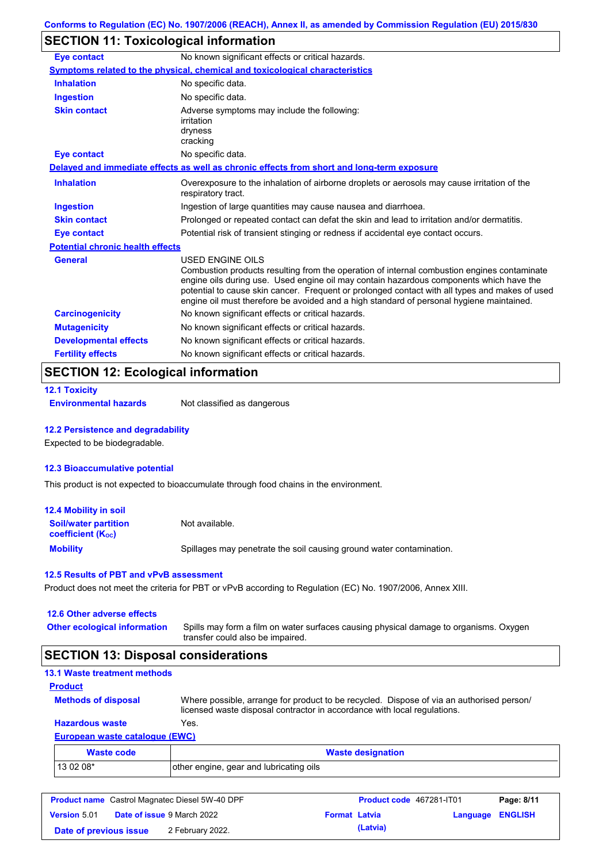# **SECTION 11: Toxicological information**

| <b>Eye contact</b>                                                            | No known significant effects or critical hazards.                                                                                                                                                                                                                                                                                                                                                               |  |  |
|-------------------------------------------------------------------------------|-----------------------------------------------------------------------------------------------------------------------------------------------------------------------------------------------------------------------------------------------------------------------------------------------------------------------------------------------------------------------------------------------------------------|--|--|
|                                                                               | <b>Symptoms related to the physical, chemical and toxicological characteristics</b>                                                                                                                                                                                                                                                                                                                             |  |  |
| <b>Inhalation</b>                                                             | No specific data.                                                                                                                                                                                                                                                                                                                                                                                               |  |  |
| <b>Ingestion</b>                                                              | No specific data.                                                                                                                                                                                                                                                                                                                                                                                               |  |  |
| <b>Skin contact</b>                                                           | Adverse symptoms may include the following:<br>irritation<br>dryness<br>cracking                                                                                                                                                                                                                                                                                                                                |  |  |
| <b>Eye contact</b>                                                            | No specific data.                                                                                                                                                                                                                                                                                                                                                                                               |  |  |
|                                                                               | Delayed and immediate effects as well as chronic effects from short and long-term exposure                                                                                                                                                                                                                                                                                                                      |  |  |
| <b>Inhalation</b>                                                             | Overexposure to the inhalation of airborne droplets or aerosols may cause irritation of the<br>respiratory tract.                                                                                                                                                                                                                                                                                               |  |  |
| <b>Ingestion</b>                                                              | Ingestion of large quantities may cause nausea and diarrhoea.                                                                                                                                                                                                                                                                                                                                                   |  |  |
| <b>Skin contact</b>                                                           | Prolonged or repeated contact can defat the skin and lead to irritation and/or dermatitis.                                                                                                                                                                                                                                                                                                                      |  |  |
| <b>Eye contact</b>                                                            | Potential risk of transient stinging or redness if accidental eye contact occurs.                                                                                                                                                                                                                                                                                                                               |  |  |
| <b>Potential chronic health effects</b>                                       |                                                                                                                                                                                                                                                                                                                                                                                                                 |  |  |
| <b>General</b>                                                                | <b>USED ENGINE OILS</b><br>Combustion products resulting from the operation of internal combustion engines contaminate<br>engine oils during use. Used engine oil may contain hazardous components which have the<br>potential to cause skin cancer. Frequent or prolonged contact with all types and makes of used<br>engine oil must therefore be avoided and a high standard of personal hygiene maintained. |  |  |
| <b>Carcinogenicity</b>                                                        | No known significant effects or critical hazards.                                                                                                                                                                                                                                                                                                                                                               |  |  |
| <b>Mutagenicity</b>                                                           | No known significant effects or critical hazards.                                                                                                                                                                                                                                                                                                                                                               |  |  |
| <b>Developmental effects</b>                                                  | No known significant effects or critical hazards.                                                                                                                                                                                                                                                                                                                                                               |  |  |
| <b>Fertility effects</b><br>No known significant effects or critical hazards. |                                                                                                                                                                                                                                                                                                                                                                                                                 |  |  |

## **SECTION 12: Ecological information**

|  |  | <b>12.1 Toxicity</b> |  |  |
|--|--|----------------------|--|--|
|--|--|----------------------|--|--|

**Environmental hazards** Not classified as dangerous

### **12.2 Persistence and degradability**

Expected to be biodegradable.

#### **12.3 Bioaccumulative potential**

This product is not expected to bioaccumulate through food chains in the environment.

| <b>12.4 Mobility in soil</b>                            |                                                                      |
|---------------------------------------------------------|----------------------------------------------------------------------|
| <b>Soil/water partition</b><br><b>coefficient (Koc)</b> | Not available.                                                       |
| <b>Mobility</b>                                         | Spillages may penetrate the soil causing ground water contamination. |

#### **12.5 Results of PBT and vPvB assessment**

Product does not meet the criteria for PBT or vPvB according to Regulation (EC) No. 1907/2006, Annex XIII.

| 12.6 Other adverse effects          |                                                                                                                           |
|-------------------------------------|---------------------------------------------------------------------------------------------------------------------------|
| <b>Other ecological information</b> | Spills may form a film on water surfaces causing physical damage to organisms. Oxygen<br>transfer could also be impaired. |

# **SECTION 13: Disposal considerations**

| <b>13.1 Waste treatment methods</b> |                                                                                                                                                                      |
|-------------------------------------|----------------------------------------------------------------------------------------------------------------------------------------------------------------------|
| <b>Product</b>                      |                                                                                                                                                                      |
| <b>Methods of disposal</b>          | Where possible, arrange for product to be recycled. Dispose of via an authorised person/<br>licensed waste disposal contractor in accordance with local regulations. |
| <b>Hazardous waste</b>              | Yes.                                                                                                                                                                 |
| European waste catalogue (EWC)      |                                                                                                                                                                      |
| Waste code                          | <b>Waste designation</b>                                                                                                                                             |

| Waste code | <b>Waste designation</b>                |  |
|------------|-----------------------------------------|--|
| $130208*$  | other engine, gear and lubricating oils |  |

|                        | <b>Product name</b> Castrol Magnatec Diesel 5W-40 DPF |                      | Product code 467281-IT01 |                  | Page: 8/11 |
|------------------------|-------------------------------------------------------|----------------------|--------------------------|------------------|------------|
| <b>Version 5.01</b>    | <b>Date of issue 9 March 2022</b>                     | <b>Format Latvia</b> |                          | Language ENGLISH |            |
| Date of previous issue | 2 February 2022.                                      |                      | (Latvia)                 |                  |            |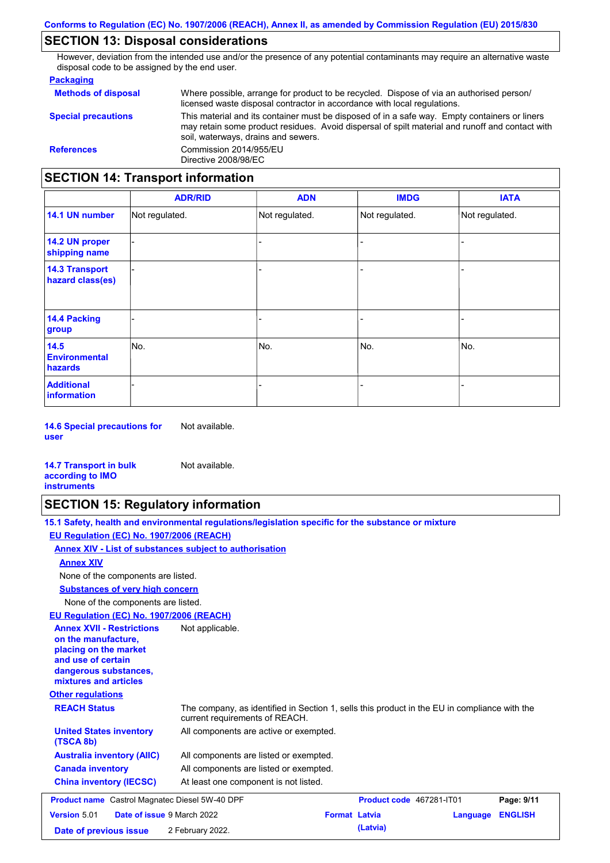## **SECTION 13: Disposal considerations**

However, deviation from the intended use and/or the presence of any potential contaminants may require an alternative waste disposal code to be assigned by the end user.

### **Packaging**

| <b>Methods of disposal</b>        | Where possible, arrange for product to be recycled. Dispose of via an authorised person/<br>licensed waste disposal contractor in accordance with local regulations.                                                                    |
|-----------------------------------|-----------------------------------------------------------------------------------------------------------------------------------------------------------------------------------------------------------------------------------------|
| <b>Special precautions</b>        | This material and its container must be disposed of in a safe way. Empty containers or liners<br>may retain some product residues. Avoid dispersal of spilt material and runoff and contact with<br>soil, waterways, drains and sewers. |
| <b>References</b>                 | Commission 2014/955/EU<br>Directive 2008/98/EC                                                                                                                                                                                          |
| SECTION 14: Transnort information |                                                                                                                                                                                                                                         |

## **SECTION 14: Transport information**

|                                           | <b>ADR/RID</b> | <b>ADN</b>     | <b>IMDG</b>    | <b>IATA</b>    |
|-------------------------------------------|----------------|----------------|----------------|----------------|
| 14.1 UN number                            | Not regulated. | Not regulated. | Not regulated. | Not regulated. |
| 14.2 UN proper<br>shipping name           |                |                |                |                |
| <b>14.3 Transport</b><br>hazard class(es) |                |                | -              |                |
| 14.4 Packing<br>group                     |                |                | $\blacksquare$ |                |
| 14.5<br><b>Environmental</b><br>hazards   | No.            | No.            | No.            | No.            |
| <b>Additional</b><br>information          |                |                | -              |                |

**14.6 Special precautions for user** Not available.

#### **14.7 Transport in bulk according to IMO instruments**

### **SECTION 15: Regulatory information**

| 15.1 Safety, health and environmental regulations/legislation specific for the substance or mixture |  |
|-----------------------------------------------------------------------------------------------------|--|
| EU Regulation (EC) No. 1907/2006 (REACH)                                                            |  |

#### **Annex XIV - List of substances subject to authorisation**

Not available.

#### **Annex XIV**

None of the components are listed.

**Substances of very high concern**

None of the components are listed.

#### **EU Regulation (EC) No. 1907/2006 (REACH)**

| EU Requiation (EC) No. 1907/2006 (REACH)                                                                                                                 |                                                                                                                                |                      |                                 |          |                |
|----------------------------------------------------------------------------------------------------------------------------------------------------------|--------------------------------------------------------------------------------------------------------------------------------|----------------------|---------------------------------|----------|----------------|
| <b>Annex XVII - Restrictions</b><br>on the manufacture.<br>placing on the market<br>and use of certain<br>dangerous substances,<br>mixtures and articles | Not applicable.                                                                                                                |                      |                                 |          |                |
| <b>Other regulations</b>                                                                                                                                 |                                                                                                                                |                      |                                 |          |                |
| <b>REACH Status</b>                                                                                                                                      | The company, as identified in Section 1, sells this product in the EU in compliance with the<br>current requirements of REACH. |                      |                                 |          |                |
| <b>United States inventory</b><br>(TSCA 8b)                                                                                                              | All components are active or exempted.                                                                                         |                      |                                 |          |                |
| <b>Australia inventory (AIIC)</b>                                                                                                                        | All components are listed or exempted.                                                                                         |                      |                                 |          |                |
| <b>Canada inventory</b>                                                                                                                                  | All components are listed or exempted.                                                                                         |                      |                                 |          |                |
| <b>China inventory (IECSC)</b>                                                                                                                           | At least one component is not listed.                                                                                          |                      |                                 |          |                |
| <b>Product name</b> Castrol Magnatec Diesel 5W-40 DPF                                                                                                    |                                                                                                                                |                      | <b>Product code</b> 467281-IT01 |          | Page: 9/11     |
| <b>Version 5.01</b>                                                                                                                                      | Date of issue 9 March 2022                                                                                                     | <b>Format Latvia</b> |                                 | Language | <b>ENGLISH</b> |
| Date of previous issue                                                                                                                                   | 2 February 2022.                                                                                                               |                      | (Latvia)                        |          |                |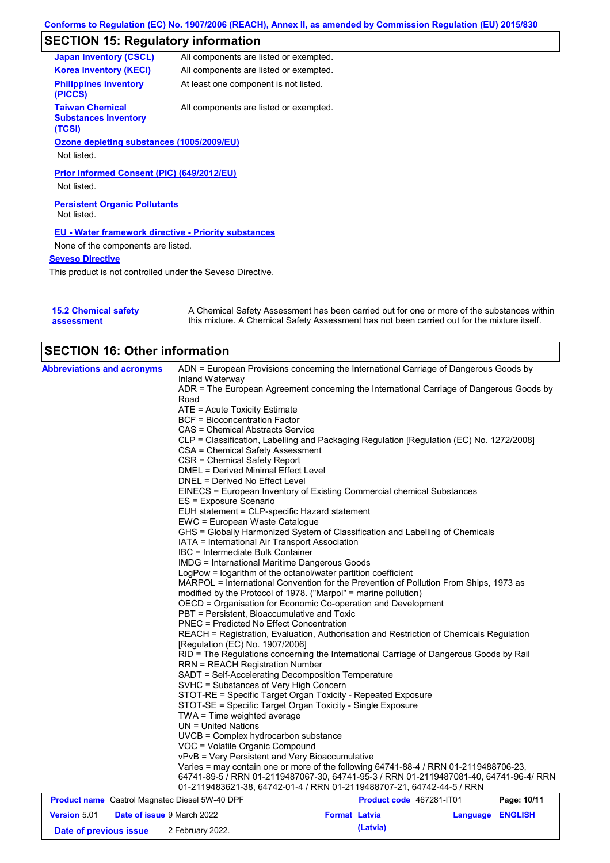# **SECTION 15: Regulatory information**

| <b>Japan inventory (CSCL)</b>                                   | All components are listed or exempted. |
|-----------------------------------------------------------------|----------------------------------------|
| <b>Korea inventory (KECI)</b>                                   | All components are listed or exempted. |
| <b>Philippines inventory</b><br>(PICCS)                         | At least one component is not listed.  |
| <b>Taiwan Chemical</b><br><b>Substances Inventory</b><br>(TCSI) | All components are listed or exempted. |
| Ozone depleting substances (1005/2009/EU)                       |                                        |
| Not listed.                                                     |                                        |
| Prior Informed Consent (PIC) (649/2012/EU)                      |                                        |
| Not listed.                                                     |                                        |
| <b>Persistent Organic Pollutants</b>                            |                                        |
| Not listed.                                                     |                                        |
| <b>EU - Water framework directive - Priority substances</b>     |                                        |
| None of the components are listed.                              |                                        |
| <b>Seveso Directive</b>                                         |                                        |
| This product is not controlled under the Seveso Directive.      |                                        |

| <b>15.2 Chemical safety</b> | A Chemical Safety Assessment has been carried out for one or more of the substances within  |
|-----------------------------|---------------------------------------------------------------------------------------------|
| assessment                  | this mixture. A Chemical Safety Assessment has not been carried out for the mixture itself. |

|                                                       | <b>SECTION 16: Other information</b>                                                                                                                                                                                                                                                                                                                                                                                                                                                                                                                                                                                                                                                                                                                                                                                                                                                                                                                                                                                                                                                                                                                                                                                                                                                                                                                                                                                                                                                                                                                                                                                                                                                                                                                                                                                                                                                                                                                                                                                                                                                                                                                                               |                          |          |                |  |  |
|-------------------------------------------------------|------------------------------------------------------------------------------------------------------------------------------------------------------------------------------------------------------------------------------------------------------------------------------------------------------------------------------------------------------------------------------------------------------------------------------------------------------------------------------------------------------------------------------------------------------------------------------------------------------------------------------------------------------------------------------------------------------------------------------------------------------------------------------------------------------------------------------------------------------------------------------------------------------------------------------------------------------------------------------------------------------------------------------------------------------------------------------------------------------------------------------------------------------------------------------------------------------------------------------------------------------------------------------------------------------------------------------------------------------------------------------------------------------------------------------------------------------------------------------------------------------------------------------------------------------------------------------------------------------------------------------------------------------------------------------------------------------------------------------------------------------------------------------------------------------------------------------------------------------------------------------------------------------------------------------------------------------------------------------------------------------------------------------------------------------------------------------------------------------------------------------------------------------------------------------------|--------------------------|----------|----------------|--|--|
| <b>Abbreviations and acronyms</b>                     | ADN = European Provisions concerning the International Carriage of Dangerous Goods by<br>Inland Waterway<br>ADR = The European Agreement concerning the International Carriage of Dangerous Goods by<br>Road<br>$ATE = Acute Toxicity Estimate$<br><b>BCF</b> = Bioconcentration Factor<br>CAS = Chemical Abstracts Service<br>CLP = Classification, Labelling and Packaging Regulation [Regulation (EC) No. 1272/2008]<br><b>CSA = Chemical Safety Assessment</b><br><b>CSR = Chemical Safety Report</b><br>DMEL = Derived Minimal Effect Level<br>DNEL = Derived No Effect Level<br>EINECS = European Inventory of Existing Commercial chemical Substances<br>ES = Exposure Scenario<br>EUH statement = CLP-specific Hazard statement<br>EWC = European Waste Catalogue<br>GHS = Globally Harmonized System of Classification and Labelling of Chemicals<br>IATA = International Air Transport Association<br>IBC = Intermediate Bulk Container<br><b>IMDG</b> = International Maritime Dangerous Goods<br>LogPow = logarithm of the octanol/water partition coefficient<br>MARPOL = International Convention for the Prevention of Pollution From Ships, 1973 as<br>modified by the Protocol of 1978. ("Marpol" = marine pollution)<br>OECD = Organisation for Economic Co-operation and Development<br>PBT = Persistent, Bioaccumulative and Toxic<br>PNEC = Predicted No Effect Concentration<br>REACH = Registration, Evaluation, Authorisation and Restriction of Chemicals Regulation<br>[Regulation (EC) No. 1907/2006]<br>RID = The Regulations concerning the International Carriage of Dangerous Goods by Rail<br><b>RRN = REACH Registration Number</b><br>SADT = Self-Accelerating Decomposition Temperature<br>SVHC = Substances of Very High Concern<br>STOT-RE = Specific Target Organ Toxicity - Repeated Exposure<br>STOT-SE = Specific Target Organ Toxicity - Single Exposure<br>$TWA = Time$ weighted average<br>$UN = United Nations$<br>UVCB = Complex hydrocarbon substance<br>VOC = Volatile Organic Compound<br>vPvB = Very Persistent and Very Bioaccumulative<br>Varies = may contain one or more of the following 64741-88-4 / RRN 01-2119488706-23, |                          |          |                |  |  |
|                                                       | 64741-89-5 / RRN 01-2119487067-30, 64741-95-3 / RRN 01-2119487081-40, 64741-96-4/ RRN<br>01-2119483621-38, 64742-01-4 / RRN 01-2119488707-21, 64742-44-5 / RRN                                                                                                                                                                                                                                                                                                                                                                                                                                                                                                                                                                                                                                                                                                                                                                                                                                                                                                                                                                                                                                                                                                                                                                                                                                                                                                                                                                                                                                                                                                                                                                                                                                                                                                                                                                                                                                                                                                                                                                                                                     |                          |          |                |  |  |
| <b>Product name</b> Castrol Magnatec Diesel 5W-40 DPF |                                                                                                                                                                                                                                                                                                                                                                                                                                                                                                                                                                                                                                                                                                                                                                                                                                                                                                                                                                                                                                                                                                                                                                                                                                                                                                                                                                                                                                                                                                                                                                                                                                                                                                                                                                                                                                                                                                                                                                                                                                                                                                                                                                                    | Product code 467281-IT01 |          | Page: 10/11    |  |  |
| Version 5.01<br>Date of issue 9 March 2022            |                                                                                                                                                                                                                                                                                                                                                                                                                                                                                                                                                                                                                                                                                                                                                                                                                                                                                                                                                                                                                                                                                                                                                                                                                                                                                                                                                                                                                                                                                                                                                                                                                                                                                                                                                                                                                                                                                                                                                                                                                                                                                                                                                                                    | <b>Format Latvia</b>     | Language | <b>ENGLISH</b> |  |  |
| Date of previous issue                                | 2 February 2022.                                                                                                                                                                                                                                                                                                                                                                                                                                                                                                                                                                                                                                                                                                                                                                                                                                                                                                                                                                                                                                                                                                                                                                                                                                                                                                                                                                                                                                                                                                                                                                                                                                                                                                                                                                                                                                                                                                                                                                                                                                                                                                                                                                   | (Latvia)                 |          |                |  |  |